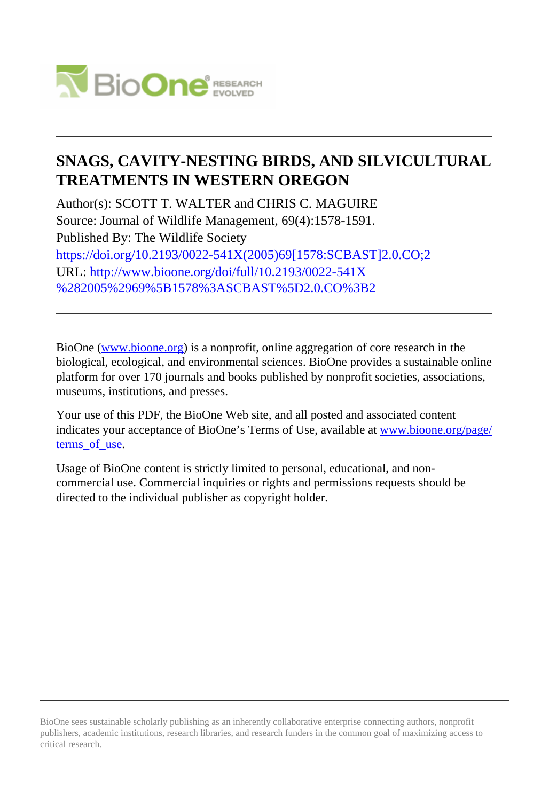

# **SNAGS, CAVITY-NESTING BIRDS, AND SILVICULTURAL TREATMENTS IN WESTERN OREGON**

Author(s): SCOTT T. WALTER and CHRIS C. MAGUIRE Source: Journal of Wildlife Management, 69(4):1578-1591. Published By: The Wildlife Society [https://doi.org/10.2193/0022-541X\(2005\)69\[1578:SCBAST\]2.0.CO;2](https://doi.org/10.2193/0022-541X(2005)69[1578:SCBAST]2.0.CO;2) URL: [http://www.bioone.org/doi/full/10.2193/0022-541X](http://www.bioone.org/doi/full/10.2193/0022-541X%282005%2969%5B1578%3ASCBAST%5D2.0.CO%3B2) [%282005%2969%5B1578%3ASCBAST%5D2.0.CO%3B2](http://www.bioone.org/doi/full/10.2193/0022-541X%282005%2969%5B1578%3ASCBAST%5D2.0.CO%3B2)

BioOne [\(www.bioone.org\)](http://www.bioone.org) is a nonprofit, online aggregation of core research in the biological, ecological, and environmental sciences. BioOne provides a sustainable online platform for over 170 journals and books published by nonprofit societies, associations, museums, institutions, and presses.

Your use of this PDF, the BioOne Web site, and all posted and associated content indicates your acceptance of BioOne's Terms of Use, available at [www.bioone.org/page/](http://www.bioone.org/page/terms_of_use) [terms\\_of\\_use.](http://www.bioone.org/page/terms_of_use)

Usage of BioOne content is strictly limited to personal, educational, and noncommercial use. Commercial inquiries or rights and permissions requests should be directed to the individual publisher as copyright holder.

BioOne sees sustainable scholarly publishing as an inherently collaborative enterprise connecting authors, nonprofit publishers, academic institutions, research libraries, and research funders in the common goal of maximizing access to critical research.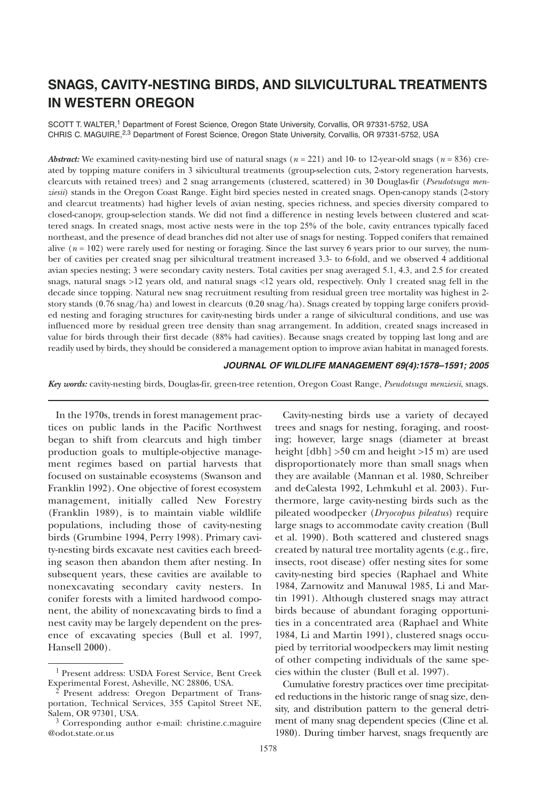# **SNAGS, CAVITY-NESTING BIRDS, AND SILVICULTURAL TREATMENTS IN WESTERN OREGON**

SCOTT T. WALTER,<sup>1</sup> Department of Forest Science, Oregon State University, Corvallis, OR 97331-5752, USA CHRIS C. MAGUIRE,<sup>2,3</sup> Department of Forest Science, Oregon State University, Corvallis, OR 97331-5752, USA

*Abstract:* We examined cavity-nesting bird use of natural snags (*n* = 221) and 10- to 12-year-old snags (*n* = 836) created by topping mature conifers in 3 silvicultural treatments (group-selection cuts, 2-story regeneration harvests, clearcuts with retained trees) and 2 snag arrangements (clustered, scattered) in 30 Douglas-fir (*Pseudotsuga menziesii*) stands in the Oregon Coast Range. Eight bird species nested in created snags. Open-canopy stands (2-story and clearcut treatments) had higher levels of avian nesting, species richness, and species diversity compared to closed-canopy, group-selection stands. We did not find a difference in nesting levels between clustered and scattered snags. In created snags, most active nests were in the top 25% of the bole, cavity entrances typically faced northeast, and the presence of dead branches did not alter use of snags for nesting. Topped conifers that remained alive  $(n = 102)$  were rarely used for nesting or foraging. Since the last survey 6 years prior to our survey, the number of cavities per created snag per silvicultural treatment increased 3.3- to 6-fold, and we observed 4 additional avian species nesting; 3 were secondary cavity nesters. Total cavities per snag averaged 5.1, 4.3, and 2.5 for created snags, natural snags >12 years old, and natural snags <12 years old, respectively. Only 1 created snag fell in the decade since topping. Natural new snag recruitment resulting from residual green tree mortality was highest in 2 story stands (0.76 snag/ha) and lowest in clearcuts (0.20 snag/ha). Snags created by topping large conifers provided nesting and foraging structures for cavity-nesting birds under a range of silvicultural conditions, and use was influenced more by residual green tree density than snag arrangement. In addition, created snags increased in value for birds through their first decade (88% had cavities). Because snags created by topping last long and are readily used by birds, they should be considered a management option to improve avian habitat in managed forests.

**JOURNAL OF WILDLIFE MANAGEMENT 69(4):1578–1591; 2005**

*Key words:* cavity-nesting birds, Douglas-fir, green-tree retention, Oregon Coast Range, *Pseudotsuga menziesii*, snags.

In the 1970s, trends in forest management practices on public lands in the Pacific Northwest began to shift from clearcuts and high timber production goals to multiple-objective management regimes based on partial harvests that focused on sustainable ecosystems (Swanson and Franklin 1992). One objective of forest ecosystem management, initially called New Forestry (Franklin 1989), is to maintain viable wildlife populations, including those of cavity-nesting birds (Grumbine 1994, Perry 1998). Primary cavity-nesting birds excavate nest cavities each breeding season then abandon them after nesting. In subsequent years, these cavities are available to nonexcavating secondary cavity nesters. In conifer forests with a limited hardwood component, the ability of nonexcavating birds to find a nest cavity may be largely dependent on the presence of excavating species (Bull et al. 1997, Hansell 2000).

Cavity-nesting birds use a variety of decayed trees and snags for nesting, foraging, and roosting; however, large snags (diameter at breast height [dbh] >50 cm and height >15 m) are used disproportionately more than small snags when they are available (Mannan et al. 1980, Schreiber and deCalesta 1992, Lehmkuhl et al. 2003). Furthermore, large cavity-nesting birds such as the pileated woodpecker (*Dryocopus pileatus*) require large snags to accommodate cavity creation (Bull et al. 1990). Both scattered and clustered snags created by natural tree mortality agents (e.g., fire, insects, root disease) offer nesting sites for some cavity-nesting bird species (Raphael and White 1984, Zarnowitz and Manuwal 1985, Li and Martin 1991). Although clustered snags may attract birds because of abundant foraging opportunities in a concentrated area (Raphael and White 1984, Li and Martin 1991), clustered snags occupied by territorial woodpeckers may limit nesting of other competing individuals of the same species within the cluster (Bull et al. 1997).

Cumulative forestry practices over time precipitated reductions in the historic range of snag size, density, and distribution pattern to the general detriment of many snag dependent species (Cline et al. 1980). During timber harvest, snags frequently are

<sup>&</sup>lt;sup>1</sup> Present address: USDA Forest Service, Bent Creek<br>Experimental Forest, Asheville, NC 28806, USA.

Present address: Oregon Department of Transportation, Technical Services, 355 Capitol Street NE, Salem, OR 97301, USA.

 $3$  Corresponding author e-mail: christine.c.maguire @odot.state.or.us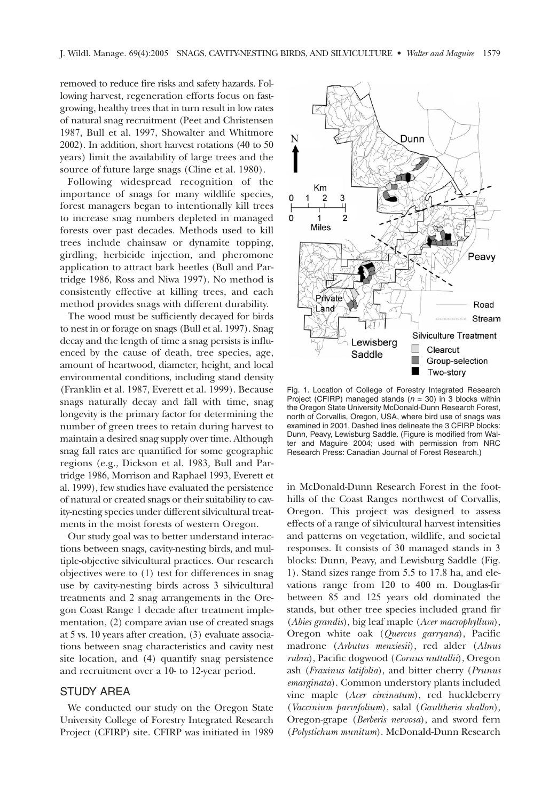removed to reduce fire risks and safety hazards. Following harvest, regeneration efforts focus on fastgrowing, healthy trees that in turn result in low rates of natural snag recruitment (Peet and Christensen 1987, Bull et al. 1997, Showalter and Whitmore 2002). In addition, short harvest rotations (40 to 50 years) limit the availability of large trees and the source of future large snags (Cline et al. 1980).

Following widespread recognition of the importance of snags for many wildlife species, forest managers began to intentionally kill trees to increase snag numbers depleted in managed forests over past decades. Methods used to kill trees include chainsaw or dynamite topping, girdling, herbicide injection, and pheromone application to attract bark beetles (Bull and Partridge 1986, Ross and Niwa 1997). No method is consistently effective at killing trees, and each method provides snags with different durability.

The wood must be sufficiently decayed for birds to nest in or forage on snags (Bull et al. 1997). Snag decay and the length of time a snag persists is influenced by the cause of death, tree species, age, amount of heartwood, diameter, height, and local environmental conditions, including stand density (Franklin et al. 1987, Everett et al. 1999). Because snags naturally decay and fall with time, snag longevity is the primary factor for determining the number of green trees to retain during harvest to maintain a desired snag supply over time. Although snag fall rates are quantified for some geographic regions (e.g., Dickson et al. 1983, Bull and Partridge 1986, Morrison and Raphael 1993, Everett et al. 1999), few studies have evaluated the persistence of natural or created snags or their suitability to cavity-nesting species under different silvicultural treatments in the moist forests of western Oregon.

Our study goal was to better understand interactions between snags, cavity-nesting birds, and multiple-objective silvicultural practices. Our research objectives were to (1) test for differences in snag use by cavity-nesting birds across 3 silvicultural treatments and 2 snag arrangements in the Oregon Coast Range 1 decade after treatment implementation, (2) compare avian use of created snags at 5 vs. 10 years after creation, (3) evaluate associations between snag characteristics and cavity nest site location, and (4) quantify snag persistence and recruitment over a 10- to 12-year period.

### STUDY AREA

We conducted our study on the Oregon State University College of Forestry Integrated Research Project (CFIRP) site. CFIRP was initiated in 1989



Fig. 1. Location of College of Forestry Integrated Research Project (CFIRP) managed stands ( $n = 30$ ) in 3 blocks within the Oregon State University McDonald-Dunn Research Forest, north of Corvallis, Oregon, USA, where bird use of snags was examined in 2001. Dashed lines delineate the 3 CFIRP blocks: Dunn, Peavy, Lewisburg Saddle. (Figure is modified from Walter and Maguire 2004; used with permission from NRC Research Press: Canadian Journal of Forest Research.)

in McDonald-Dunn Research Forest in the foothills of the Coast Ranges northwest of Corvallis, Oregon. This project was designed to assess effects of a range of silvicultural harvest intensities and patterns on vegetation, wildlife, and societal responses. It consists of 30 managed stands in 3 blocks: Dunn, Peavy, and Lewisburg Saddle (Fig. 1). Stand sizes range from 5.5 to 17.8 ha, and elevations range from 120 to 400 m. Douglas-fir between 85 and 125 years old dominated the stands, but other tree species included grand fir (*Abies grandis*), big leaf maple (*Acer macrophyllum*), Oregon white oak (*Quercus garryana*), Pacific madrone (*Arbutus menziesii*), red alder (*Alnus rubra*), Pacific dogwood (*Cornus nuttallii*), Oregon ash (*Fraxinus latifolia*), and bitter cherry (*Prunus emarginata*). Common understory plants included vine maple (*Acer circinatum*), red huckleberry (*Vaccinium parvifolium*), salal (*Gaultheria shallon*), Oregon-grape (*Berberis nervosa*), and sword fern (*Polystichum munitum*). McDonald-Dunn Research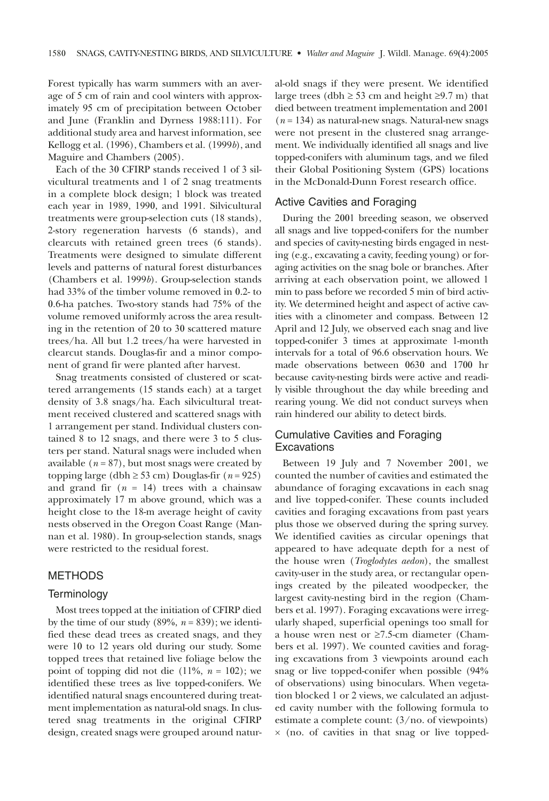Forest typically has warm summers with an average of 5 cm of rain and cool winters with approximately 95 cm of precipitation between October and June (Franklin and Dyrness 1988:111). For additional study area and harvest information, see Kellogg et al. (1996), Chambers et al. (1999*b*), and Maguire and Chambers (2005).

Each of the 30 CFIRP stands received 1 of 3 silvicultural treatments and 1 of 2 snag treatments in a complete block design; 1 block was treated each year in 1989, 1990, and 1991. Silvicultural treatments were group-selection cuts (18 stands), 2-story regeneration harvests (6 stands), and clearcuts with retained green trees (6 stands). Treatments were designed to simulate different levels and patterns of natural forest disturbances (Chambers et al. 1999*b*). Group-selection stands had 33% of the timber volume removed in 0.2- to 0.6-ha patches. Two-story stands had 75% of the volume removed uniformly across the area resulting in the retention of 20 to 30 scattered mature trees/ha. All but 1.2 trees/ha were harvested in clearcut stands. Douglas-fir and a minor component of grand fir were planted after harvest.

Snag treatments consisted of clustered or scattered arrangements (15 stands each) at a target density of 3.8 snags/ha. Each silvicultural treatment received clustered and scattered snags with 1 arrangement per stand. Individual clusters contained 8 to 12 snags, and there were 3 to 5 clusters per stand. Natural snags were included when available  $(n = 87)$ , but most snags were created by topping large (dbh  $\geq$  53 cm) Douglas-fir (*n* = 925) and grand fir  $(n = 14)$  trees with a chainsaw approximately 17 m above ground, which was a height close to the 18-m average height of cavity nests observed in the Oregon Coast Range (Mannan et al. 1980). In group-selection stands, snags were restricted to the residual forest.

# METHODS

#### **Terminology**

Most trees topped at the initiation of CFIRP died by the time of our study (89%,  $n = 839$ ); we identified these dead trees as created snags, and they were 10 to 12 years old during our study. Some topped trees that retained live foliage below the point of topping did not die  $(11\%, n = 102)$ ; we identified these trees as live topped-conifers. We identified natural snags encountered during treatment implementation as natural-old snags. In clustered snag treatments in the original CFIRP design, created snags were grouped around natural-old snags if they were present. We identified large trees (dbh  $\geq$  53 cm and height  $\geq$ 9.7 m) that died between treatment implementation and 2001 (*n* = 134) as natural-new snags. Natural-new snags were not present in the clustered snag arrangement. We individually identified all snags and live topped-conifers with aluminum tags, and we filed their Global Positioning System (GPS) locations in the McDonald-Dunn Forest research office.

#### Active Cavities and Foraging

During the 2001 breeding season, we observed all snags and live topped-conifers for the number and species of cavity-nesting birds engaged in nesting (e.g., excavating a cavity, feeding young) or foraging activities on the snag bole or branches. After arriving at each observation point, we allowed 1 min to pass before we recorded 5 min of bird activity. We determined height and aspect of active cavities with a clinometer and compass. Between 12 April and 12 July, we observed each snag and live topped-conifer 3 times at approximate 1-month intervals for a total of 96.6 observation hours. We made observations between 0630 and 1700 hr because cavity-nesting birds were active and readily visible throughout the day while breeding and rearing young. We did not conduct surveys when rain hindered our ability to detect birds.

# Cumulative Cavities and Foraging **Excavations**

Between 19 July and 7 November 2001, we counted the number of cavities and estimated the abundance of foraging excavations in each snag and live topped-conifer. These counts included cavities and foraging excavations from past years plus those we observed during the spring survey. We identified cavities as circular openings that appeared to have adequate depth for a nest of the house wren (*Troglodytes aedon*), the smallest cavity-user in the study area, or rectangular openings created by the pileated woodpecker, the largest cavity-nesting bird in the region (Chambers et al. 1997). Foraging excavations were irregularly shaped, superficial openings too small for a house wren nest or ≥7.5-cm diameter (Chambers et al. 1997). We counted cavities and foraging excavations from 3 viewpoints around each snag or live topped-conifer when possible (94% of observations) using binoculars. When vegetation blocked 1 or 2 views, we calculated an adjusted cavity number with the following formula to estimate a complete count: (3/no. of viewpoints) × (no. of cavities in that snag or live topped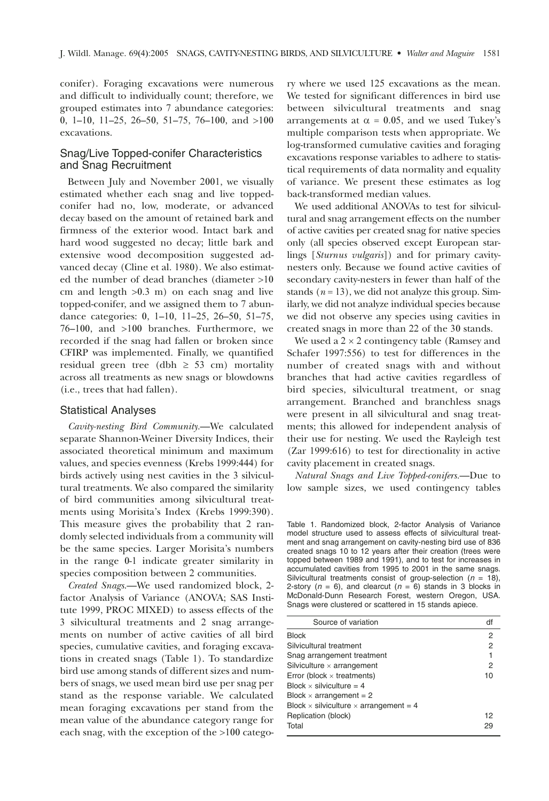conifer). Foraging excavations were numerous and difficult to individually count; therefore, we grouped estimates into 7 abundance categories: 0, 1–10, 11–25, 26–50, 51–75, 76–100, and  $>100$ excavations.

# Snag/Live Topped-conifer Characteristics and Snag Recruitment

Between July and November 2001, we visually estimated whether each snag and live toppedconifer had no, low, moderate, or advanced decay based on the amount of retained bark and firmness of the exterior wood. Intact bark and hard wood suggested no decay; little bark and extensive wood decomposition suggested advanced decay (Cline et al. 1980). We also estimated the number of dead branches (diameter >10 cm and length >0.3 m) on each snag and live topped-conifer, and we assigned them to 7 abundance categories: 0, 1–10, 11–25, 26–50, 51–75, 76–100, and >100 branches. Furthermore, we recorded if the snag had fallen or broken since CFIRP was implemented. Finally, we quantified residual green tree (dbh  $\geq$  53 cm) mortality across all treatments as new snags or blowdowns (i.e., trees that had fallen).

#### Statistical Analyses

*Cavity-nesting Bird Community.*—We calculated separate Shannon-Weiner Diversity Indices, their associated theoretical minimum and maximum values, and species evenness (Krebs 1999:444) for birds actively using nest cavities in the 3 silvicultural treatments. We also compared the similarity of bird communities among silvicultural treatments using Morisita's Index (Krebs 1999:390). This measure gives the probability that 2 randomly selected individuals from a community will be the same species. Larger Morisita's numbers in the range 0-1 indicate greater similarity in species composition between 2 communities.

*Created Snags*.—We used randomized block, 2 factor Analysis of Variance (ANOVA; SAS Institute 1999, PROC MIXED) to assess effects of the 3 silvicultural treatments and 2 snag arrangements on number of active cavities of all bird species, cumulative cavities, and foraging excavations in created snags (Table 1). To standardize bird use among stands of different sizes and numbers of snags, we used mean bird use per snag per stand as the response variable. We calculated mean foraging excavations per stand from the mean value of the abundance category range for each snag, with the exception of the >100 category where we used 125 excavations as the mean. We tested for significant differences in bird use between silvicultural treatments and snag arrangements at  $\alpha = 0.05$ , and we used Tukey's multiple comparison tests when appropriate. We log-transformed cumulative cavities and foraging excavations response variables to adhere to statistical requirements of data normality and equality of variance. We present these estimates as log back-transformed median values.

We used additional ANOVAs to test for silvicultural and snag arrangement effects on the number of active cavities per created snag for native species only (all species observed except European starlings [*Sturnus vulgaris*]) and for primary cavitynesters only. Because we found active cavities of secondary cavity-nesters in fewer than half of the stands  $(n = 13)$ , we did not analyze this group. Similarly, we did not analyze individual species because we did not observe any species using cavities in created snags in more than 22 of the 30 stands.

We used a  $2 \times 2$  contingency table (Ramsey and Schafer 1997:556) to test for differences in the number of created snags with and without branches that had active cavities regardless of bird species, silvicultural treatment, or snag arrangement. Branched and branchless snags were present in all silvicultural and snag treatments; this allowed for independent analysis of their use for nesting. We used the Rayleigh test (Zar 1999:616) to test for directionality in active cavity placement in created snags.

*Natural Snags and Live Topped-conifers.*—Due to low sample sizes, we used contingency tables

Table 1. Randomized block, 2-factor Analysis of Variance model structure used to assess effects of silvicultural treatment and snag arrangement on cavity-nesting bird use of 836 created snags 10 to 12 years after their creation (trees were topped between 1989 and 1991), and to test for increases in accumulated cavities from 1995 to 2001 in the same snags. Silvicultural treatments consist of group-selection ( $n = 18$ ), 2-story ( $n = 6$ ), and clearcut ( $n = 6$ ) stands in 3 blocks in McDonald-Dunn Research Forest, western Oregon, USA. Snags were clustered or scattered in 15 stands apiece.

| Source of variation                                  | df             |
|------------------------------------------------------|----------------|
| <b>Block</b>                                         | $\overline{2}$ |
| Silvicultural treatment                              | 2              |
| Snag arrangement treatment                           |                |
| Silviculture $\times$ arrangement                    | 2              |
| Error (block $\times$ treatments)                    | 10             |
| Block $\times$ silviculture = 4                      |                |
| Block $\times$ arrangement = 2                       |                |
| Block $\times$ silviculture $\times$ arrangement = 4 |                |
| Replication (block)                                  | 12             |
| Total                                                | 29             |
|                                                      |                |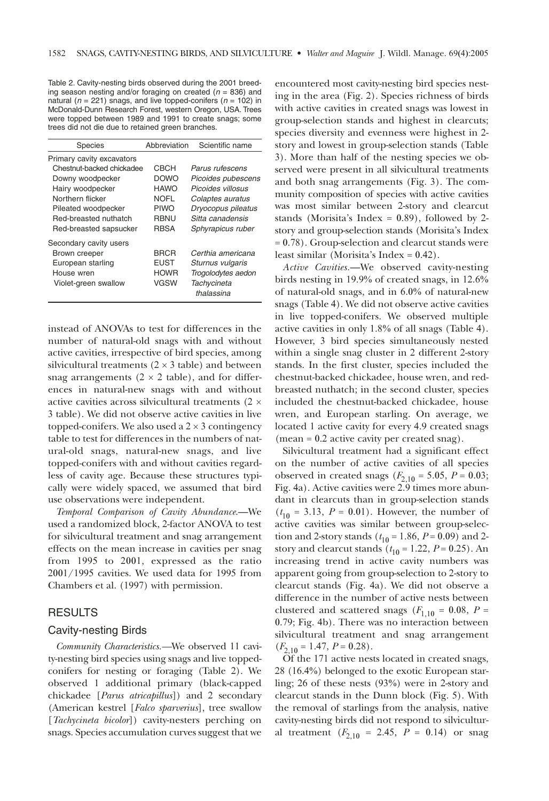Table 2. Cavity-nesting birds observed during the 2001 breeding season nesting and/or foraging on created ( $n = 836$ ) and natural ( $n = 221$ ) snags, and live topped-conifers ( $n = 102$ ) in McDonald-Dunn Research Forest, western Oregon, USA. Trees were topped between 1989 and 1991 to create snags; some trees did not die due to retained green branches.

| <b>Species</b>            | Abbreviation | Scientific name           |
|---------------------------|--------------|---------------------------|
| Primary cavity excavators |              |                           |
| Chestnut-backed chickadee | <b>CBCH</b>  | Parus rufescens           |
| Downy woodpecker          | <b>DOWO</b>  | Picoides pubescens        |
| Hairy woodpecker          | <b>HAWO</b>  | Picoides villosus         |
| Northern flicker          | <b>NOFL</b>  | Colaptes auratus          |
| Pileated woodpecker       | <b>PIWO</b>  | Dryocopus pileatus        |
| Red-breasted nuthatch     | <b>RBNU</b>  | Sitta canadensis          |
| Red-breasted sapsucker    | <b>RBSA</b>  | Sphyrapicus ruber         |
| Secondary cavity users    |              |                           |
| Brown creeper             | <b>BRCR</b>  | Certhia americana         |
| European starling         | <b>EUST</b>  | Sturnus vulgaris          |
| House wren                | <b>HOWR</b>  | Trogolodytes aedon        |
| Violet-green swallow      | <b>VGSW</b>  | Tachycineta<br>thalassina |
|                           |              |                           |

instead of ANOVAs to test for differences in the number of natural-old snags with and without active cavities, irrespective of bird species, among silvicultural treatments  $(2 \times 3$  table) and between snag arrangements  $(2 \times 2 \text{ table})$ , and for differences in natural-new snags with and without active cavities across silvicultural treatments (2 × 3 table). We did not observe active cavities in live topped-conifers. We also used a  $2 \times 3$  contingency table to test for differences in the numbers of natural-old snags, natural-new snags, and live topped-conifers with and without cavities regardless of cavity age. Because these structures typically were widely spaced, we assumed that bird use observations were independent.

*Temporal Comparison of Cavity Abundance*.—We used a randomized block, 2-factor ANOVA to test for silvicultural treatment and snag arrangement effects on the mean increase in cavities per snag from 1995 to 2001, expressed as the ratio 2001/1995 cavities. We used data for 1995 from Chambers et al. (1997) with permission.

# **RESULTS**

#### Cavity-nesting Birds

*Community Characteristics.—*We observed 11 cavity-nesting bird species using snags and live toppedconifers for nesting or foraging (Table 2). We observed 1 additional primary (black-capped chickadee [*Parus atricapillus*]) and 2 secondary (American kestrel [*Falco sparverius*], tree swallow [*Tachycineta bicolor*]) cavity-nesters perching on snags. Species accumulation curves suggest that we

encountered most cavity-nesting bird species nesting in the area (Fig. 2). Species richness of birds with active cavities in created snags was lowest in group-selection stands and highest in clearcuts; species diversity and evenness were highest in 2 story and lowest in group-selection stands (Table 3). More than half of the nesting species we observed were present in all silvicultural treatments and both snag arrangements (Fig. 3). The community composition of species with active cavities was most similar between 2-story and clearcut stands (Morisita's Index = 0.89), followed by 2 story and group-selection stands (Morisita's Index = 0.78). Group-selection and clearcut stands were least similar (Morisita's Index = 0.42).

*Active Cavities.*—We observed cavity-nesting birds nesting in 19.9% of created snags, in 12.6% of natural-old snags, and in 6.0% of natural-new snags (Table 4). We did not observe active cavities in live topped-conifers. We observed multiple active cavities in only 1.8% of all snags (Table 4). However, 3 bird species simultaneously nested within a single snag cluster in 2 different 2-story stands. In the first cluster, species included the chestnut-backed chickadee, house wren, and redbreasted nuthatch; in the second cluster, species included the chestnut-backed chickadee, house wren, and European starling. On average, we located 1 active cavity for every 4.9 created snags (mean = 0.2 active cavity per created snag).

Silvicultural treatment had a significant effect on the number of active cavities of all species observed in created snags ( $F_{2,10} = 5.05$ ,  $P = 0.03$ ; Fig. 4a). Active cavities were 2.9 times more abundant in clearcuts than in group-selection stands  $(t_{10} = 3.13, P = 0.01)$ . However, the number of active cavities was similar between group-selection and 2-story stands ( $t_{10} = 1.86$ ,  $P = 0.09$ ) and 2story and clearcut stands  $(t_{10} = 1.22, P = 0.25)$ . An increasing trend in active cavity numbers was apparent going from group-selection to 2-story to clearcut stands (Fig. 4a). We did not observe a difference in the number of active nests between clustered and scattered snags ( $F_{1,10}$  = 0.08, *P* = 0.79; Fig. 4b). There was no interaction between silvicultural treatment and snag arrangement  $(F_{2,10} = 1.47, P = 0.28).$ 

Of the 171 active nests located in created snags, 28 (16.4%) belonged to the exotic European starling; 26 of these nests (93%) were in 2-story and clearcut stands in the Dunn block (Fig. 5). With the removal of starlings from the analysis, native cavity-nesting birds did not respond to silvicultural treatment  $(F_{2,10} = 2.45, P = 0.14)$  or snag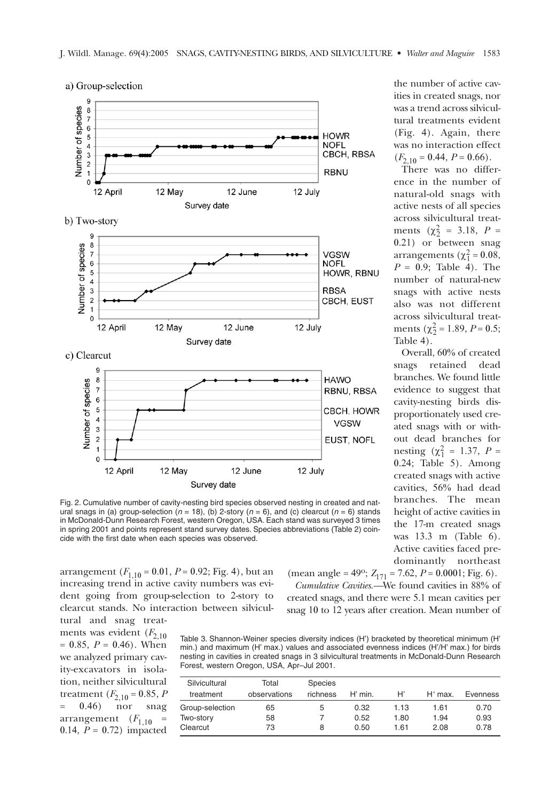

Fig. 2. Cumulative number of cavity-nesting bird species observed nesting in created and natural snags in (a) group-selection ( $n = 18$ ), (b) 2-story ( $n = 6$ ), and (c) clearcut ( $n = 6$ ) stands in McDonald-Dunn Research Forest, western Oregon, USA. Each stand was surveyed 3 times in spring 2001 and points represent stand survey dates. Species abbreviations (Table 2) coincide with the first date when each species was observed.

arrangement  $(F_{1,10} = 0.01, P = 0.92; Fig. 4)$ , but an increasing trend in active cavity numbers was evident going from group-selection to 2-story to clearcut stands. No interaction between silvicultural and snag treat-

ments was evident  $(F_{2,10})$  $= 0.85, P = 0.46$ . When we analyzed primary cavity-excavators in isolation, neither silvicultural treatment  $(F_{2,10} = 0.85, P_{2,10} = 0.46)$  nor snag  $(0.46)$ arrangement  $(F_{1,10}$  = 0.14,  $P = 0.72$  impacted (mean angle = 49°;  $Z_{171}$  = 7.62, *P* = 0.0001; Fig. 6). *Cumulative Cavities.—*We found cavities in 88% of

created snags, and there were 5.1 mean cavities per snag 10 to 12 years after creation. Mean number of

Table 3. Shannon-Weiner species diversity indices (H') bracketed by theoretical minimum (H' min.) and maximum (H' max.) values and associated evenness indices (H'/H' max.) for birds nesting in cavities in created snags in 3 silvicultural treatments in McDonald-Dunn Research Forest, western Oregon, USA, Apr–Jul 2001.

| Silvicultural   | Total        | Species  |           |      |           |          |
|-----------------|--------------|----------|-----------|------|-----------|----------|
| treatment       | observations | richness | $H'$ min. | H    | $H'$ max. | Evenness |
| Group-selection | 65           | 5        | 0.32      | 1.13 | 1.61      | 0.70     |
| Two-story       | 58           |          | 0.52      | 1.80 | 1.94      | 0.93     |
| Clearcut        | 73           | 8        | 0.50      | 1 61 | 2.08      | 0.78     |

the number of active cavities in created snags, nor was a trend across silvicultural treatments evident (Fig. 4). Again, there was no interaction effect  $(F_{2,10} = 0.44, P = 0.66).$ 

There was no difference in the number of natural-old snags with active nests of all species across silvicultural treatments  $(\chi^2_{2} = 3.18, P =$ 0.21) or between snag arrangements ( $\chi_1^2$  = 0.08, *P* = 0.9; Table 4). The number of natural-new snags with active nests also was not different across silvicultural treatments ( $\chi^2$  = 1.89, *P* = 0.5; Table 4).

Overall, 60% of created snags retained dead branches. We found little evidence to suggest that cavity-nesting birds disproportionately used created snags with or without dead branches for nesting  $(\chi_1^2 = 1.37, P =$ 0.24; Table 5). Among created snags with active cavities, 56% had dead branches. The mean height of active cavities in the 17-m created snags was 13.3 m (Table 6). Active cavities faced predominantly northeast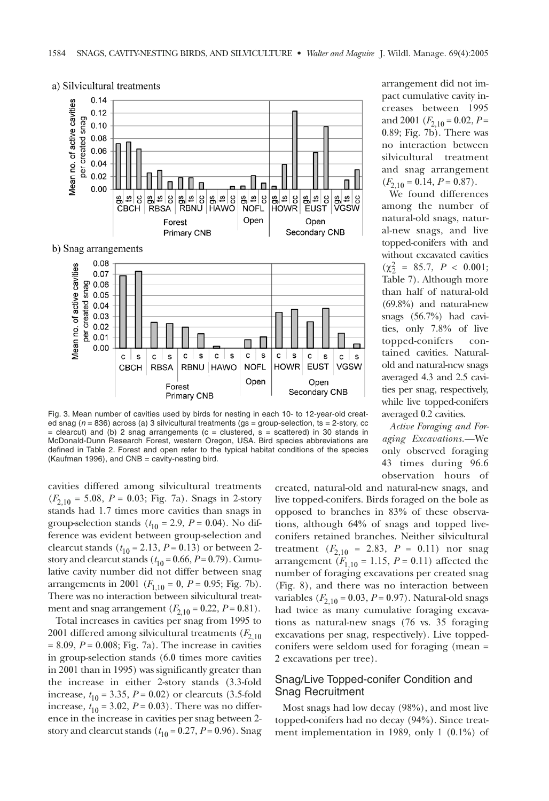

a) Silvicultural treatments

Fig. 3. Mean number of cavities used by birds for nesting in each 10- to 12-year-old created snag ( $n = 836$ ) across (a) 3 silvicultural treatments ( $gs = group\text{-selection}$ , ts = 2-story, cc  $=$  clearcut) and (b) 2 snag arrangements (c = clustered, s = scattered) in 30 stands in McDonald-Dunn Research Forest, western Oregon, USA. Bird species abbreviations are defined in Table 2. Forest and open refer to the typical habitat conditions of the species (Kaufman 1996), and CNB = cavity-nesting bird.

cavities differed among silvicultural treatments  $(F_{2,10} = 5.08, P = 0.03;$  Fig. 7a). Snags in 2-story stands had 1.7 times more cavities than snags in group-selection stands ( $t_{10} = 2.9$ ,  $P = 0.04$ ). No difference was evident between group-selection and clearcut stands  $(t_{10} = 2.13, P = 0.13)$  or between 2story and clearcut stands  $(t_{10} = 0.66, P = 0.79)$ . Cumulative cavity number did not differ between snag arrangements in 2001 ( $F_{1,10} = 0$ ,  $P = 0.95$ ; Fig. 7b). There was no interaction between silvicultural treatment and snag arrangement  $(F_{2,10} = 0.22, P = 0.81)$ .

Total increases in cavities per snag from 1995 to 2001 differed among silvicultural treatments  $(F_{2,10})$  $= 8.09, P = 0.008;$  Fig. 7a). The increase in cavities in group-selection stands (6.0 times more cavities in 2001 than in 1995) was significantly greater than the increase in either 2-story stands (3.3-fold increase,  $t_{10} = 3.35$ ,  $P = 0.02$ ) or clearcuts (3.5-fold increase,  $t_{10} = 3.02$ ,  $P = 0.03$ ). There was no difference in the increase in cavities per snag between 2 story and clearcut stands  $(t_{10} = 0.27, P = 0.96)$ . Snag

arrangement did not impact cumulative cavity increases between 1995 and 2001 ( $F_{2,10} = 0.02, P =$ 0.89; Fig. 7b). There was no interaction between silvicultural treatment and snag arrangement  $(F_{2,10} = 0.14, P = 0.87).$ 

We found differences among the number of natural-old snags, natural-new snags, and live topped-conifers with and without excavated cavities  $(\chi^2_{2} = 85.7, P < 0.001;$ Table 7). Although more than half of natural-old (69.8%) and natural-new snags (56.7%) had cavities, only 7.8% of live topped-conifers contained cavities. Naturalold and natural-new snags averaged 4.3 and 2.5 cavities per snag, respectively, while live topped-conifers averaged 0.2 cavities.

*Active Foraging and Foraging Excavations.*—We only observed foraging 43 times during 96.6 observation hours of

created, natural-old and natural-new snags, and live topped-conifers. Birds foraged on the bole as opposed to branches in 83% of these observations, although 64% of snags and topped liveconifers retained branches. Neither silvicultural treatment  $(F_{2,10} = 2.83, P = 0.11)$  nor snag arrangement ( $F_{1,10} = 1.15$ ,  $P = 0.11$ ) affected the number of foraging excavations per created snag (Fig. 8), and there was no interaction between variables  $(F_{2,10} = 0.03, P = 0.97)$ . Natural-old snags had twice as many cumulative foraging excavations as natural-new snags (76 vs. 35 foraging excavations per snag, respectively). Live toppedconifers were seldom used for foraging (mean = 2 excavations per tree).

# Snag/Live Topped-conifer Condition and Snag Recruitment

Most snags had low decay (98%), and most live topped-conifers had no decay (94%). Since treatment implementation in 1989, only 1 (0.1%) of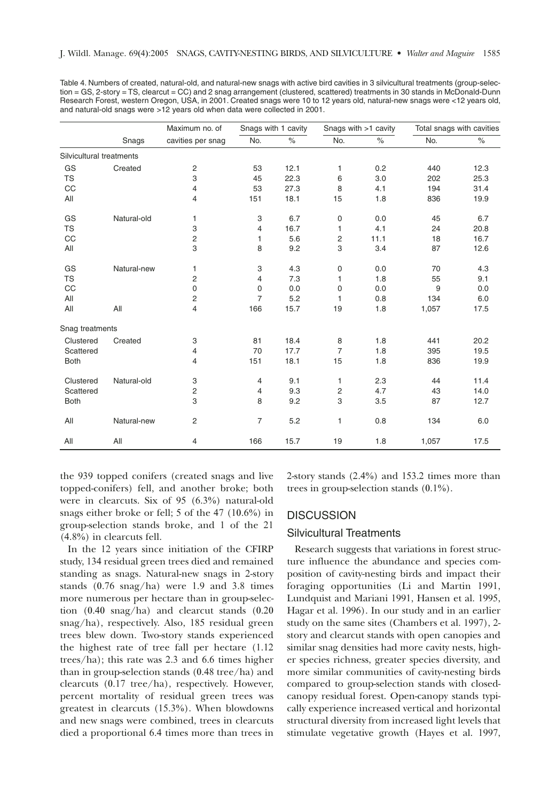Table 4. Numbers of created, natural-old, and natural-new snags with active bird cavities in 3 silvicultural treatments (group-selection = GS, 2-story = TS, clearcut = CC) and 2 snag arrangement (clustered, scattered) treatments in 30 stands in McDonald-Dunn Research Forest, western Oregon, USA, in 2001. Created snags were 10 to 12 years old, natural-new snags were <12 years old, and natural-old snags were >12 years old when data were collected in 2001.

|                          |             | Maximum no. of    | Snags with 1 cavity |      | Snags with >1 cavity |      | Total snags with cavities |      |
|--------------------------|-------------|-------------------|---------------------|------|----------------------|------|---------------------------|------|
|                          | Snags       | cavities per snag | No.                 | $\%$ | No.                  | $\%$ | No.                       | $\%$ |
| Silvicultural treatments |             |                   |                     |      |                      |      |                           |      |
| GS                       | Created     | 2                 | 53                  | 12.1 | 1                    | 0.2  | 440                       | 12.3 |
| <b>TS</b>                |             | 3                 | 45                  | 22.3 | 6                    | 3.0  | 202                       | 25.3 |
| CC                       |             | 4                 | 53                  | 27.3 | 8                    | 4.1  | 194                       | 31.4 |
| All                      |             | 4                 | 151                 | 18.1 | 15                   | 1.8  | 836                       | 19.9 |
| GS                       | Natural-old | 1                 | 3                   | 6.7  | 0                    | 0.0  | 45                        | 6.7  |
| <b>TS</b>                |             | 3                 | 4                   | 16.7 | 1                    | 4.1  | 24                        | 20.8 |
| CC                       |             | 2                 | 1                   | 5.6  | 2                    | 11.1 | 18                        | 16.7 |
| All                      |             | 3                 | 8                   | 9.2  | 3                    | 3.4  | 87                        | 12.6 |
| GS                       | Natural-new | 1                 | 3                   | 4.3  | 0                    | 0.0  | 70                        | 4.3  |
| <b>TS</b>                |             | 2                 | 4                   | 7.3  | 1                    | 1.8  | 55                        | 9.1  |
| CC                       |             | 0                 | 0                   | 0.0  | 0                    | 0.0  | 9                         | 0.0  |
| All                      |             | 2                 | 7                   | 5.2  | 1                    | 0.8  | 134                       | 6.0  |
| All                      | All         | 4                 | 166                 | 15.7 | 19                   | 1.8  | 1,057                     | 17.5 |
| Snag treatments          |             |                   |                     |      |                      |      |                           |      |
| Clustered                | Created     | 3                 | 81                  | 18.4 | 8                    | 1.8  | 441                       | 20.2 |
| Scattered                |             | 4                 | 70                  | 17.7 | $\overline{7}$       | 1.8  | 395                       | 19.5 |
| <b>Both</b>              |             | 4                 | 151                 | 18.1 | 15                   | 1.8  | 836                       | 19.9 |
| Clustered                | Natural-old | 3                 | 4                   | 9.1  | 1                    | 2.3  | 44                        | 11.4 |
| Scattered                |             | 2                 | 4                   | 9.3  | 2                    | 4.7  | 43                        | 14.0 |
| <b>Both</b>              |             | 3                 | 8                   | 9.2  | 3                    | 3.5  | 87                        | 12.7 |
| All                      | Natural-new | 2                 | 7                   | 5.2  | $\mathbf{1}$         | 0.8  | 134                       | 6.0  |
| All                      | All         | $\overline{4}$    | 166                 | 15.7 | 19                   | 1.8  | 1,057                     | 17.5 |

the 939 topped conifers (created snags and live topped-conifers) fell, and another broke; both were in clearcuts. Six of 95 (6.3%) natural-old snags either broke or fell; 5 of the 47 (10.6%) in group-selection stands broke, and 1 of the 21 (4.8%) in clearcuts fell.

In the 12 years since initiation of the CFIRP study, 134 residual green trees died and remained standing as snags. Natural-new snags in 2-story stands (0.76 snag/ha) were 1.9 and 3.8 times more numerous per hectare than in group-selection (0.40 snag/ha) and clearcut stands (0.20 snag/ha), respectively. Also, 185 residual green trees blew down. Two-story stands experienced the highest rate of tree fall per hectare (1.12 trees/ha); this rate was 2.3 and 6.6 times higher than in group-selection stands (0.48 tree/ha) and clearcuts (0.17 tree/ha), respectively. However, percent mortality of residual green trees was greatest in clearcuts (15.3%). When blowdowns and new snags were combined, trees in clearcuts died a proportional 6.4 times more than trees in 2-story stands (2.4%) and 153.2 times more than trees in group-selection stands (0.1%).

#### **DISCUSSION**

#### Silvicultural Treatments

Research suggests that variations in forest structure influence the abundance and species composition of cavity-nesting birds and impact their foraging opportunities (Li and Martin 1991, Lundquist and Mariani 1991, Hansen et al. 1995, Hagar et al. 1996). In our study and in an earlier study on the same sites (Chambers et al. 1997), 2 story and clearcut stands with open canopies and similar snag densities had more cavity nests, higher species richness, greater species diversity, and more similar communities of cavity-nesting birds compared to group-selection stands with closedcanopy residual forest. Open-canopy stands typically experience increased vertical and horizontal structural diversity from increased light levels that stimulate vegetative growth (Hayes et al. 1997,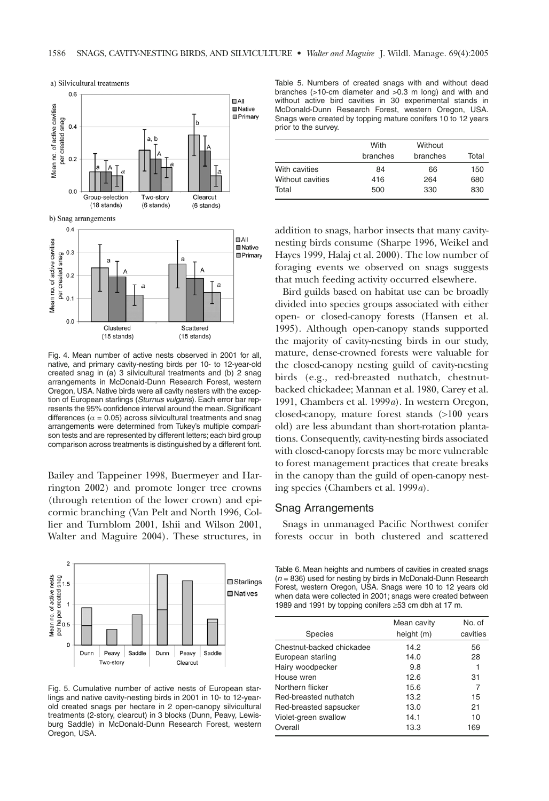

Fig. 4. Mean number of active nests observed in 2001 for all, native, and primary cavity-nesting birds per 10- to 12-year-old created snag in (a) 3 silvicultural treatments and (b) 2 snag arrangements in McDonald-Dunn Research Forest, western Oregon, USA. Native birds were all cavity nesters with the exception of European starlings (Sturnus vulgaris). Each error bar represents the 95% confidence interval around the mean. Significant differences ( $\alpha$  = 0.05) across silvicultural treatments and snag arrangements were determined from Tukey's multiple comparison tests and are represented by different letters; each bird group comparison across treatments is distinguished by a different font.

Bailey and Tappeiner 1998, Buermeyer and Harrington 2002) and promote longer tree crowns (through retention of the lower crown) and epicormic branching (Van Pelt and North 1996, Collier and Turnblom 2001, Ishii and Wilson 2001, Walter and Maguire 2004). These structures, in



Fig. 5. Cumulative number of active nests of European starlings and native cavity-nesting birds in 2001 in 10- to 12-yearold created snags per hectare in 2 open-canopy silvicultural treatments (2-story, clearcut) in 3 blocks (Dunn, Peavy, Lewisburg Saddle) in McDonald-Dunn Research Forest, western Oregon, USA.

Table 5. Numbers of created snags with and without dead branches (>10-cm diameter and >0.3 m long) and with and without active bird cavities in 30 experimental stands in McDonald-Dunn Research Forest, western Oregon, USA. Snags were created by topping mature conifers 10 to 12 years prior to the survey.

|                  | With<br>branches | Without<br>branches | Total |
|------------------|------------------|---------------------|-------|
| With cavities    | 84               | 66                  | 150   |
| Without cavities | 416              | 264                 | 680   |
| Total            | 500              | 330                 | 830   |

addition to snags, harbor insects that many cavitynesting birds consume (Sharpe 1996, Weikel and Hayes 1999, Halaj et al. 2000). The low number of foraging events we observed on snags suggests that much feeding activity occurred elsewhere.

Bird guilds based on habitat use can be broadly divided into species groups associated with either open- or closed-canopy forests (Hansen et al. 1995). Although open-canopy stands supported the majority of cavity-nesting birds in our study, mature, dense-crowned forests were valuable for the closed-canopy nesting guild of cavity-nesting birds (e.g., red-breasted nuthatch, chestnutbacked chickadee; Mannan et al. 1980, Carey et al. 1991, Chambers et al. 1999*a*). In western Oregon, closed-canopy, mature forest stands (>100 years old) are less abundant than short-rotation plantations. Consequently, cavity-nesting birds associated with closed-canopy forests may be more vulnerable to forest management practices that create breaks in the canopy than the guild of open-canopy nesting species (Chambers et al. 1999*a*).

#### Snag Arrangements

Snags in unmanaged Pacific Northwest conifer forests occur in both clustered and scattered

Table 6. Mean heights and numbers of cavities in created snags  $(n = 836)$  used for nesting by birds in McDonald-Dunn Research Forest, western Oregon, USA. Snags were 10 to 12 years old when data were collected in 2001; snags were created between 1989 and 1991 by topping conifers ≥53 cm dbh at 17 m.

|                           | Mean cavity | No. of   |
|---------------------------|-------------|----------|
| <b>Species</b>            | height (m)  | cavities |
| Chestnut-backed chickadee | 14.2        | 56       |
| European starling         | 14.0        | 28       |
| Hairy woodpecker          | 9.8         |          |
| House wren                | 12.6        | 31       |
| Northern flicker          | 15.6        | 7        |
| Red-breasted nuthatch     | 13.2        | 15       |
| Red-breasted sapsucker    | 13.0        | 21       |
| Violet-green swallow      | 14.1        | 10       |
| Overall                   | 13.3        | 169      |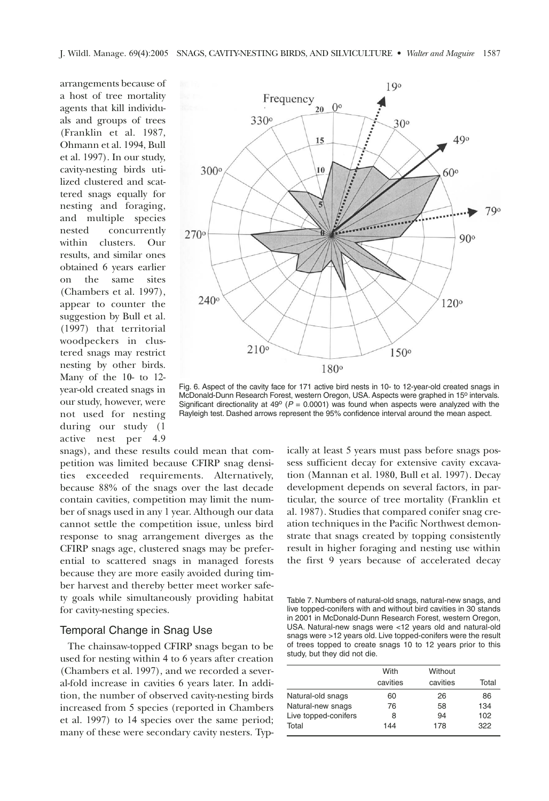arrangements because of a host of tree mortality agents that kill individuals and groups of trees (Franklin et al. 1987, Ohmann et al. 1994, Bull et al. 1997). In our study, cavity-nesting birds utilized clustered and scattered snags equally for nesting and foraging, and multiple species nested concurrently within clusters. Our results, and similar ones obtained 6 years earlier on the same sites (Chambers et al. 1997), appear to counter the suggestion by Bull et al. (1997) that territorial woodpeckers in clustered snags may restrict nesting by other birds. Many of the 10- to 12 year-old created snags in our study, however, were not used for nesting during our study (1 active nest per 4.9

snags), and these results could mean that competition was limited because CFIRP snag densities exceeded requirements. Alternatively, because 88% of the snags over the last decade contain cavities, competition may limit the number of snags used in any 1 year. Although our data cannot settle the competition issue, unless bird response to snag arrangement diverges as the CFIRP snags age, clustered snags may be preferential to scattered snags in managed forests because they are more easily avoided during timber harvest and thereby better meet worker safety goals while simultaneously providing habitat for cavity-nesting species.

#### Temporal Change in Snag Use

The chainsaw-topped CFIRP snags began to be used for nesting within 4 to 6 years after creation (Chambers et al. 1997), and we recorded a several-fold increase in cavities 6 years later. In addition, the number of observed cavity-nesting birds increased from 5 species (reported in Chambers et al. 1997) to 14 species over the same period; many of these were secondary cavity nesters. Typ-



Fig. 6. Aspect of the cavity face for 171 active bird nests in 10- to 12-year-old created snags in McDonald-Dunn Research Forest, western Oregon, USA. Aspects were graphed in 15<sup>o</sup> intervals. Significant directionality at 49 $\degree$  (P = 0.0001) was found when aspects were analyzed with the Rayleigh test. Dashed arrows represent the 95% confidence interval around the mean aspect.

ically at least 5 years must pass before snags possess sufficient decay for extensive cavity excavation (Mannan et al. 1980, Bull et al. 1997). Decay development depends on several factors, in particular, the source of tree mortality (Franklin et al. 1987). Studies that compared conifer snag creation techniques in the Pacific Northwest demonstrate that snags created by topping consistently result in higher foraging and nesting use within the first 9 years because of accelerated decay

Table 7. Numbers of natural-old snags, natural-new snags, and live topped-conifers with and without bird cavities in 30 stands in 2001 in McDonald-Dunn Research Forest, western Oregon, USA. Natural-new snags were <12 years old and natural-old snags were >12 years old. Live topped-conifers were the result of trees topped to create snags 10 to 12 years prior to this study, but they did not die.

|                      | With     | Without  |       |
|----------------------|----------|----------|-------|
|                      | cavities | cavities | Total |
| Natural-old snags    | 60       | 26       | 86    |
| Natural-new snags    | 76       | 58       | 134   |
| Live topped-conifers | 8        | 94       | 102   |
| Total                | 144      | 178      | 322   |
|                      |          |          |       |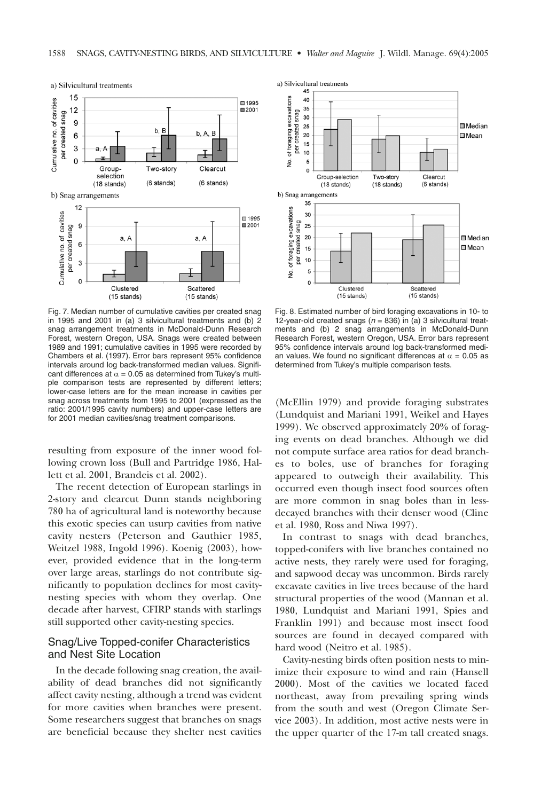

Fig. 7. Median number of cumulative cavities per created snag in 1995 and 2001 in (a) 3 silvicultural treatments and (b) 2 snag arrangement treatments in McDonald-Dunn Research Forest, western Oregon, USA. Snags were created between 1989 and 1991; cumulative cavities in 1995 were recorded by Chambers et al. (1997). Error bars represent 95% confidence intervals around log back-transformed median values. Significant differences at  $\alpha$  = 0.05 as determined from Tukey's multiple comparison tests are represented by different letters; lower-case letters are for the mean increase in cavities per snag across treatments from 1995 to 2001 (expressed as the ratio: 2001/1995 cavity numbers) and upper-case letters are for 2001 median cavities/snag treatment comparisons.

resulting from exposure of the inner wood following crown loss (Bull and Partridge 1986, Hallett et al. 2001, Brandeis et al. 2002).

The recent detection of European starlings in 2-story and clearcut Dunn stands neighboring 780 ha of agricultural land is noteworthy because this exotic species can usurp cavities from native cavity nesters (Peterson and Gauthier 1985, Weitzel 1988, Ingold 1996). Koenig (2003), however, provided evidence that in the long-term over large areas, starlings do not contribute significantly to population declines for most cavitynesting species with whom they overlap. One decade after harvest, CFIRP stands with starlings still supported other cavity-nesting species.

# Snag/Live Topped-conifer Characteristics and Nest Site Location

In the decade following snag creation, the availability of dead branches did not significantly affect cavity nesting, although a trend was evident for more cavities when branches were present. Some researchers suggest that branches on snags are beneficial because they shelter nest cavities



Fig. 8. Estimated number of bird foraging excavations in 10- to 12-year-old created snags ( $n = 836$ ) in (a) 3 silvicultural treatments and (b) 2 snag arrangements in McDonald-Dunn Research Forest, western Oregon, USA. Error bars represent 95% confidence intervals around log back-transformed median values. We found no significant differences at  $\alpha$  = 0.05 as determined from Tukey's multiple comparison tests.

(McEllin 1979) and provide foraging substrates (Lundquist and Mariani 1991, Weikel and Hayes 1999). We observed approximately 20% of foraging events on dead branches. Although we did not compute surface area ratios for dead branches to boles, use of branches for foraging appeared to outweigh their availability. This occurred even though insect food sources often are more common in snag boles than in lessdecayed branches with their denser wood (Cline et al. 1980, Ross and Niwa 1997).

In contrast to snags with dead branches, topped-conifers with live branches contained no active nests, they rarely were used for foraging, and sapwood decay was uncommon. Birds rarely excavate cavities in live trees because of the hard structural properties of the wood (Mannan et al. 1980, Lundquist and Mariani 1991, Spies and Franklin 1991) and because most insect food sources are found in decayed compared with hard wood (Neitro et al. 1985).

Cavity-nesting birds often position nests to minimize their exposure to wind and rain (Hansell 2000). Most of the cavities we located faced northeast, away from prevailing spring winds from the south and west (Oregon Climate Service 2003). In addition, most active nests were in the upper quarter of the 17-m tall created snags.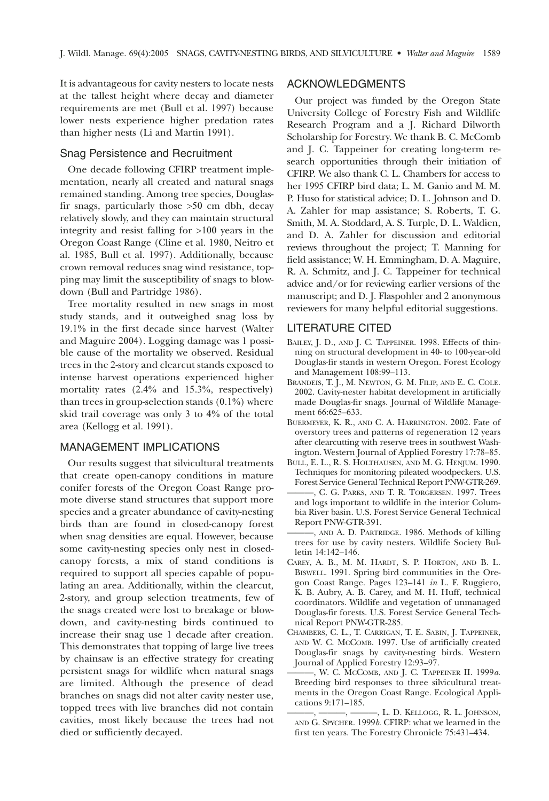It is advantageous for cavity nesters to locate nests at the tallest height where decay and diameter requirements are met (Bull et al. 1997) because lower nests experience higher predation rates than higher nests (Li and Martin 1991).

#### Snag Persistence and Recruitment

One decade following CFIRP treatment implementation, nearly all created and natural snags remained standing. Among tree species, Douglasfir snags, particularly those >50 cm dbh, decay relatively slowly, and they can maintain structural integrity and resist falling for >100 years in the Oregon Coast Range (Cline et al. 1980, Neitro et al. 1985, Bull et al. 1997). Additionally, because crown removal reduces snag wind resistance, topping may limit the susceptibility of snags to blowdown (Bull and Partridge 1986).

Tree mortality resulted in new snags in most study stands, and it outweighed snag loss by 19.1% in the first decade since harvest (Walter and Maguire 2004). Logging damage was 1 possible cause of the mortality we observed. Residual trees in the 2-story and clearcut stands exposed to intense harvest operations experienced higher mortality rates (2.4% and 15.3%, respectively) than trees in group-selection stands (0.1%) where skid trail coverage was only 3 to 4% of the total area (Kellogg et al. 1991).

# MANAGEMENT IMPLICATIONS

Our results suggest that silvicultural treatments that create open-canopy conditions in mature conifer forests of the Oregon Coast Range promote diverse stand structures that support more species and a greater abundance of cavity-nesting birds than are found in closed-canopy forest when snag densities are equal. However, because some cavity-nesting species only nest in closedcanopy forests, a mix of stand conditions is required to support all species capable of populating an area. Additionally, within the clearcut, 2-story, and group selection treatments, few of the snags created were lost to breakage or blowdown, and cavity-nesting birds continued to increase their snag use 1 decade after creation. This demonstrates that topping of large live trees by chainsaw is an effective strategy for creating persistent snags for wildlife when natural snags are limited. Although the presence of dead branches on snags did not alter cavity nester use, topped trees with live branches did not contain cavities, most likely because the trees had not died or sufficiently decayed.

# ACKNOWLEDGMENTS

Our project was funded by the Oregon State University College of Forestry Fish and Wildlife Research Program and a J. Richard Dilworth Scholarship for Forestry. We thank B. C. McComb and J. C. Tappeiner for creating long-term research opportunities through their initiation of CFIRP. We also thank C. L. Chambers for access to her 1995 CFIRP bird data; L. M. Ganio and M. M. P. Huso for statistical advice; D. L. Johnson and D. A. Zahler for map assistance; S. Roberts, T. G. Smith, M. A. Stoddard, A. S. Turple, D. L. Waldien, and D. A. Zahler for discussion and editorial reviews throughout the project; T. Manning for field assistance; W. H. Emmingham, D. A. Maguire, R. A. Schmitz, and J. C. Tappeiner for technical advice and/or for reviewing earlier versions of the manuscript; and D. J. Flaspohler and 2 anonymous reviewers for many helpful editorial suggestions.

#### LITERATURE CITED

- BAILEY, J. D., AND J. C. TAPPEINER. 1998. Effects of thinning on structural development in 40- to 100-year-old Douglas-fir stands in western Oregon. Forest Ecology and Management 108:99–113.
- BRANDEIS, T. J., M. NEWTON, G. M. FILIP, AND E. C. COLE. 2002. Cavity-nester habitat development in artificially made Douglas-fir snags. Journal of Wildlife Management 66:625–633.
- BUERMEYER, K. R., AND C. A. HARRINGTON. 2002. Fate of overstory trees and patterns of regeneration 12 years after clearcutting with reserve trees in southwest Washington. Western Journal of Applied Forestry 17:78–85.
- BULL, E. L., R. S. HOLTHAUSEN, AND M. G. HENJUM. 1990. Techniques for monitoring pileated woodpeckers. U.S. Forest Service General Technical Report PNW-GTR-269.
- ———, C. G. PARKS, AND T. R. TORGERSEN. 1997. Trees and logs important to wildlife in the interior Columbia River basin. U.S. Forest Service General Technical Report PNW-GTR-391.
- ———, AND A. D. PARTRIDGE. 1986. Methods of killing trees for use by cavity nesters. Wildlife Society Bulletin 14:142–146.
- CAREY, A. B., M. M. HARDT, S. P. HORTON, AND B. L. BISWELL. 1991. Spring bird communities in the Oregon Coast Range. Pages 123–141 *in* L. F. Ruggiero, K. B. Aubry, A. B. Carey, and M. H. Huff, technical coordinators. Wildlife and vegetation of unmanaged Douglas-fir forests. U.S. Forest Service General Technical Report PNW-GTR-285.
- CHAMBERS, C. L., T. CARRIGAN, T. E. SABIN, J. TAPPEINER, AND W. C. MCCOMB. 1997. Use of artificially created Douglas-fir snags by cavity-nesting birds. Western Journal of Applied Forestry 12:93–97.
- ———, W. C. MCCOMB, AND J. C. TAPPEINER II. 1999*a*. Breeding bird responses to three silvicultural treatments in the Oregon Coast Range. Ecological Applications 9:171–185.

<sup>———, ———, ———,</sup> L. D. KELLOGG, R. L. JOHNSON, AND G. SPYCHER. 1999*b*. CFIRP: what we learned in the first ten years. The Forestry Chronicle 75:431–434.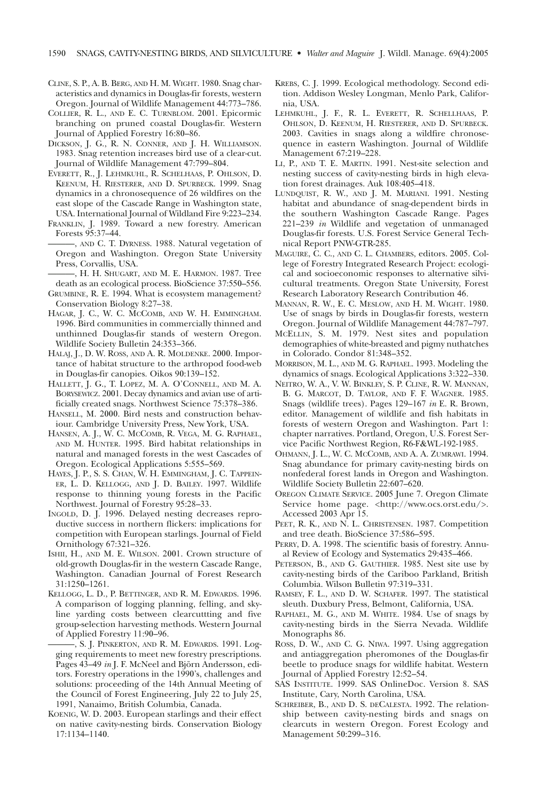- CLINE, S. P., A. B. BERG, AND H. M. WIGHT. 1980. Snag characteristics and dynamics in Douglas-fir forests, western Oregon. Journal of Wildlife Management 44:773–786.
- COLLIER, R. L., AND E. C. TURNBLOM. 2001. Epicormic branching on pruned coastal Douglas-fir. Western Journal of Applied Forestry 16:80–86.
- DICKSON, J. G., R. N. CONNER, AND J. H. WILLIAMSON. 1983. Snag retention increases bird use of a clear-cut. Journal of Wildlife Management 47:799–804.
- EVERETT, R., J. LEHMKUHL, R. SCHELHAAS, P. OHLSON, D. KEENUM, H. RIESTERER, AND D. SPURBECK. 1999. Snag dynamics in a chronosequence of 26 wildfires on the east slope of the Cascade Range in Washington state, USA. International Journal of Wildland Fire 9:223–234.
- FRANKLIN, J. 1989. Toward a new forestry. American Forests 95:37–44.
- ———, AND C. T. DYRNESS. 1988. Natural vegetation of Oregon and Washington. Oregon State University Press, Corvallis, USA.
- -, H. H. SHUGART, AND M. E. HARMON. 1987. Tree death as an ecological process. BioScience 37:550–556.
- GRUMBINE, R. E. 1994. What is ecosystem management? Conservation Biology 8:27–38.
- HAGAR, J. C., W. C. MCCOMB, AND W. H. EMMINGHAM. 1996. Bird communities in commercially thinned and unthinned Douglas-fir stands of western Oregon. Wildlife Society Bulletin 24:353–366.
- HALAJ, J., D. W. ROSS, AND A. R. MOLDENKE. 2000. Importance of habitat structure to the arthropod food-web in Douglas-fir canopies. Oikos 90:139–152.
- HALLETT, J. G., T. LOPEZ, M. A. O'CONNELL, AND M. A. BORYSEWICZ. 2001. Decay dynamics and avian use of artificially created snags. Northwest Science 75:378–386.
- HANSELL, M. 2000. Bird nests and construction behaviour. Cambridge University Press, New York, USA.
- HANSEN, A. J., W. C. MCCOMB, R. VEGA, M. G. RAPHAEL, AND M. HUNTER. 1995. Bird habitat relationships in natural and managed forests in the west Cascades of Oregon. Ecological Applications 5:555–569.
- HAYES, J. P., S. S. CHAN, W. H. EMMINGHAM, J. C. TAPPEIN-ER, L. D. KELLOGG, AND J. D. BAILEY. 1997. Wildlife response to thinning young forests in the Pacific Northwest. Journal of Forestry 95:28–33.
- INGOLD, D. J. 1996. Delayed nesting decreases reproductive success in northern flickers: implications for competition with European starlings. Journal of Field Ornithology 67:321–326.
- ISHII, H., AND M. E. WILSON. 2001. Crown structure of old-growth Douglas-fir in the western Cascade Range, Washington. Canadian Journal of Forest Research 31:1250–1261.
- KELLOGG, L. D., P. BETTINGER, AND R. M. EDWARDS. 1996. A comparison of logging planning, felling, and skyline yarding costs between clearcuttting and five group-selection harvesting methods. Western Journal of Applied Forestry 11:90–96.
	- ———, S. J. PINKERTON, AND R. M. EDWARDS. 1991. Logging requirements to meet new forestry prescriptions. Pages 43–49 *in* J. F. McNeel and Björn Andersson, editors. Forestry operations in the 1990's, challenges and solutions: proceeding of the 14th Annual Meeting of the Council of Forest Engineering, July 22 to July 25, 1991, Nanaimo, British Columbia, Canada.
- KOENIG, W. D. 2003. European starlings and their effect on native cavity-nesting birds. Conservation Biology 17:1134–1140.
- KREBS, C. J. 1999. Ecological methodology. Second edition. Addison Wesley Longman, Menlo Park, California, USA.
- LEHMKUHL, J. F., R. L. EVERETT, R. SCHELLHAAS, P. OHLSON, D. KEENUM, H. RIESTERER, AND D. SPURBECK. 2003. Cavities in snags along a wildfire chronosequence in eastern Washington. Journal of Wildlife Management 67:219–228.
- LI, P., AND T. E. MARTIN. 1991. Nest-site selection and nesting success of cavity-nesting birds in high elevation forest drainages. Auk 108:405–418.
- LUNDQUIST, R. W., AND J. M. MARIANI. 1991. Nesting habitat and abundance of snag-dependent birds in the southern Washington Cascade Range. Pages 221–239 *in* Wildlife and vegetation of unmanaged Douglas-fir forests. U.S. Forest Service General Technical Report PNW-GTR-285.
- MAGUIRE, C. C., AND C. L. CHAMBERS, editors. 2005. College of Forestry Integrated Research Project: ecological and socioeconomic responses to alternative silvicultural treatments. Oregon State University, Forest Research Laboratory Research Contribution 46.
- MANNAN, R. W., E. C. MESLOW, AND H. M. WIGHT. 1980. Use of snags by birds in Douglas-fir forests, western Oregon. Journal of Wildlife Management 44:787–797.
- MCELLIN, S. M. 1979. Nest sites and population demographies of white-breasted and pigmy nuthatches in Colorado. Condor 81:348–352.
- MORRISON, M. L., AND M. G. RAPHAEL. 1993. Modeling the dynamics of snags. Ecological Applications 3:322–330.
- NEITRO, W. A., V. W. BINKLEY, S. P. CLINE, R. W. MANNAN, B. G. MARCOT, D. TAYLOR, AND F. F. WAGNER. 1985. Snags (wildlife trees). Pages 129–167 *in* E. R. Brown, editor. Management of wildlife and fish habitats in forests of western Oregon and Washington. Part 1: chapter narratives. Portland, Oregon, U.S. Forest Service Pacific Northwest Region, R6-F&WL-192-1985.
- OHMANN, J. L., W. C. MCCOMB, AND A. A. ZUMRAWI. 1994. Snag abundance for primary cavity-nesting birds on nonfederal forest lands in Oregon and Washington. Wildlife Society Bulletin 22:607–620.
- OREGON CLIMATE SERVICE. 2005 June 7. Oregon Climate Service home page. <http://www.ocs.orst.edu/>. Accessed 2003 Apr 15.
- PEET, R. K., AND N. L. CHRISTENSEN. 1987. Competition and tree death. BioScience 37:586–595.
- PERRY, D. A. 1998. The scientific basis of forestry. Annual Review of Ecology and Systematics 29:435–466.
- PETERSON, B., AND G. GAUTHIER. 1985. Nest site use by cavity-nesting birds of the Cariboo Parkland, British Columbia. Wilson Bulletin 97:319–331.
- RAMSEY, F. L., AND D. W. SCHAFER. 1997. The statistical sleuth. Duxbury Press, Belmont, California, USA.
- RAPHAEL, M. G., AND M. WHITE. 1984. Use of snags by cavity-nesting birds in the Sierra Nevada. Wildlife Monographs 86.
- ROSS, D. W., AND C. G. NIWA. 1997. Using aggregation and antiaggregation pheromones of the Douglas-fir beetle to produce snags for wildlife habitat. Western Journal of Applied Forestry 12:52–54.
- SAS INSTITUTE. 1999. SAS OnlineDoc. Version 8. SAS Institute, Cary, North Carolina, USA.
- SCHREIBER, B., AND D. S. DECALESTA. 1992. The relationship between cavity-nesting birds and snags on clearcuts in western Oregon. Forest Ecology and Management 50:299–316.